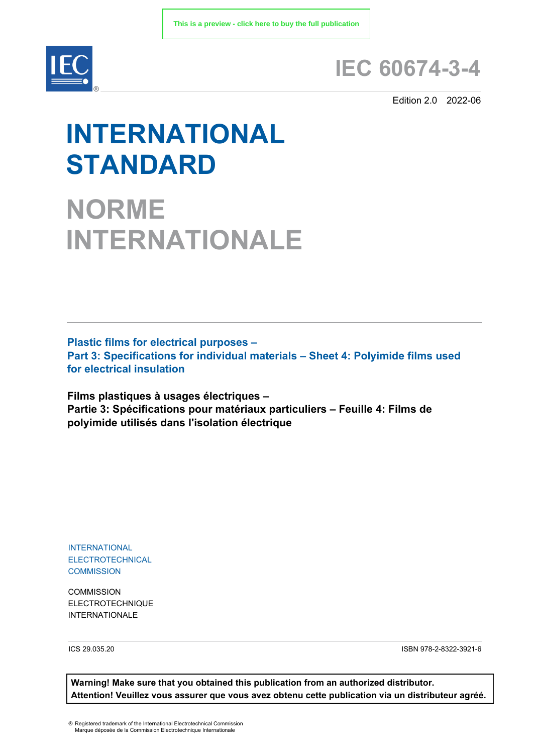

# **IEC 60674-3-4**

Edition 2.0 2022-06

# **INTERNATIONAL STANDARD**

**NORME INTERNATIONALE**

**Plastic films for electrical purposes – Part 3: Specifications for individual materials – Sheet 4: Polyimide films used for electrical insulation**

**Films plastiques à usages électriques – Partie 3: Spécifications pour matériaux particuliers – Feuille 4: Films de polyimide utilisés dans l'isolation électrique**

INTERNATIONAL ELECTROTECHNICAL **COMMISSION** 

**COMMISSION** ELECTROTECHNIQUE INTERNATIONALE

ICS 29.035.20 ISBN 978-2-8322-3921-6

**Warning! Make sure that you obtained this publication from an authorized distributor. Attention! Veuillez vous assurer que vous avez obtenu cette publication via un distributeur agréé.**

® Registered trademark of the International Electrotechnical Commission Marque déposée de la Commission Electrotechnique Internationale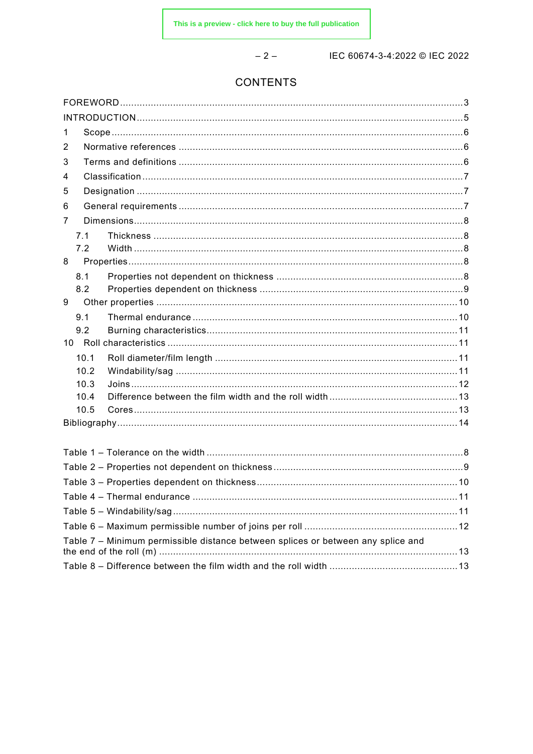$-2-$ 

IEC 60674-3-4:2022 © IEC 2022

# CONTENTS

| 1                                                                                |               |
|----------------------------------------------------------------------------------|---------------|
| 2                                                                                |               |
| 3                                                                                |               |
| 4                                                                                |               |
| 5                                                                                |               |
| 6                                                                                |               |
| 7                                                                                |               |
| 7.1                                                                              |               |
| 7.2                                                                              |               |
| 8                                                                                |               |
| 8.1                                                                              |               |
| 8.2                                                                              |               |
| 9                                                                                |               |
| 9.1                                                                              |               |
| 9.2                                                                              |               |
| 10.1                                                                             |               |
| 10.2                                                                             |               |
| 10.3                                                                             |               |
| 10.4                                                                             |               |
| 10.5                                                                             |               |
|                                                                                  |               |
|                                                                                  |               |
|                                                                                  |               |
|                                                                                  |               |
|                                                                                  |               |
|                                                                                  | $\ldots$ . 11 |
|                                                                                  |               |
|                                                                                  |               |
| Table 7 - Minimum permissible distance between splices or between any splice and |               |
|                                                                                  |               |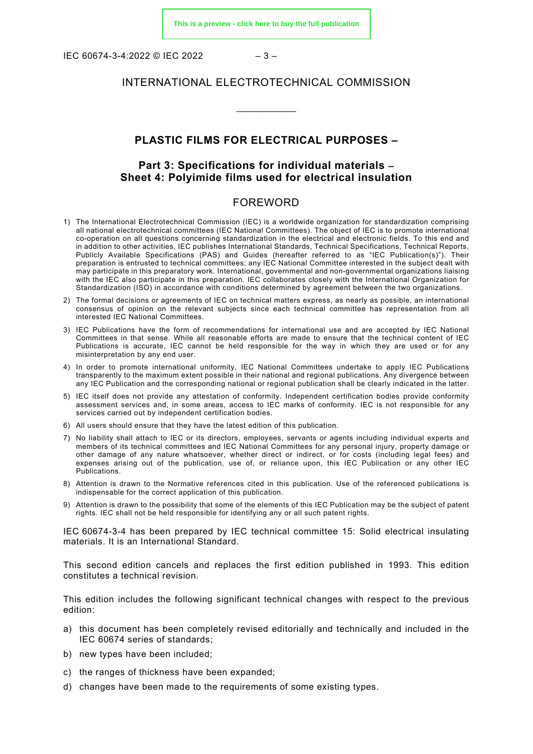IEC 60674-3-4:2022 © IEC 2022  $-3-$ 

#### INTERNATIONAL ELECTROTECHNICAL COMMISSION

\_\_\_\_\_\_\_\_\_\_\_\_

# **PLASTIC FILMS FOR ELECTRICAL PURPOSES –**

# **Part 3: Specifications for individual materials – Sheet 4: Polyimide films used for electrical insulation**

#### FOREWORD

- <span id="page-2-0"></span>1) The International Electrotechnical Commission (IEC) is a worldwide organization for standardization comprising all national electrotechnical committees (IEC National Committees). The object of IEC is to promote international co-operation on all questions concerning standardization in the electrical and electronic fields. To this end and in addition to other activities, IEC publishes International Standards, Technical Specifications, Technical Reports, Publicly Available Specifications (PAS) and Guides (hereafter referred to as "IEC Publication(s)"). Their preparation is entrusted to technical committees; any IEC National Committee interested in the subject dealt with may participate in this preparatory work. International, governmental and non-governmental organizations liaising with the IEC also participate in this preparation. IEC collaborates closely with the International Organization for Standardization (ISO) in accordance with conditions determined by agreement between the two organizations.
- 2) The formal decisions or agreements of IEC on technical matters express, as nearly as possible, an international consensus of opinion on the relevant subjects since each technical committee has representation from all interested IEC National Committees.
- 3) IEC Publications have the form of recommendations for international use and are accepted by IEC National Committees in that sense. While all reasonable efforts are made to ensure that the technical content of IEC Publications is accurate, IEC cannot be held responsible for the way in which they are used or for any misinterpretation by any end user.
- 4) In order to promote international uniformity, IEC National Committees undertake to apply IEC Publications transparently to the maximum extent possible in their national and regional publications. Any divergence between any IEC Publication and the corresponding national or regional publication shall be clearly indicated in the latter.
- 5) IEC itself does not provide any attestation of conformity. Independent certification bodies provide conformity assessment services and, in some areas, access to IEC marks of conformity. IEC is not responsible for any services carried out by independent certification bodies.
- 6) All users should ensure that they have the latest edition of this publication.
- 7) No liability shall attach to IEC or its directors, employees, servants or agents including individual experts and members of its technical committees and IEC National Committees for any personal injury, property damage or other damage of any nature whatsoever, whether direct or indirect, or for costs (including legal fees) and expenses arising out of the publication, use of, or reliance upon, this IEC Publication or any other IEC Publications.
- 8) Attention is drawn to the Normative references cited in this publication. Use of the referenced publications is indispensable for the correct application of this publication.
- 9) Attention is drawn to the possibility that some of the elements of this IEC Publication may be the subject of patent rights. IEC shall not be held responsible for identifying any or all such patent rights.

IEC 60674-3-4 has been prepared by IEC technical committee 15: Solid electrical insulating materials. It is an International Standard.

This second edition cancels and replaces the first edition published in 1993. This edition constitutes a technical revision.

This edition includes the following significant technical changes with respect to the previous edition:

- a) this document has been completely revised editorially and technically and included in the IEC 60674 series of standards;
- b) new types have been included;
- c) the ranges of thickness have been expanded;
- d) changes have been made to the requirements of some existing types.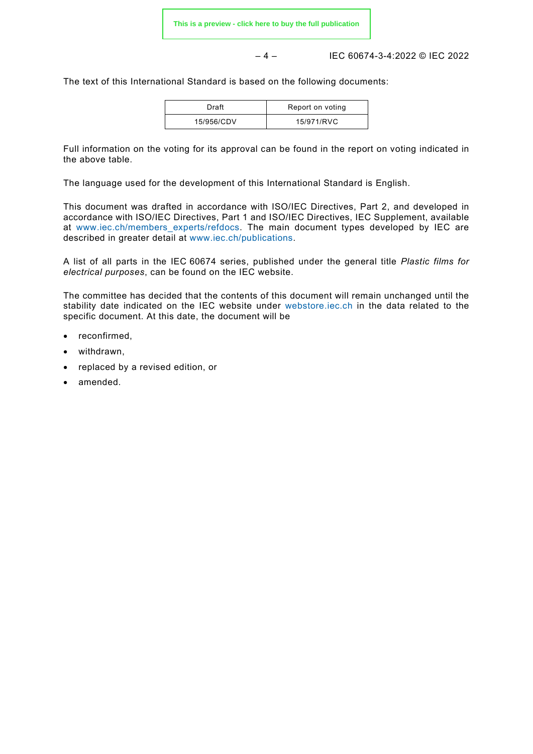– 4 – IEC 60674-3-4:2022 © IEC 2022

The text of this International Standard is based on the following documents:

| Draft      | Report on voting |
|------------|------------------|
| 15/956/CDV | 15/971/RVC       |

Full information on the voting for its approval can be found in the report on voting indicated in the above table.

The language used for the development of this International Standard is English.

This document was drafted in accordance with ISO/IEC Directives, Part 2, and developed in accordance with ISO/IEC Directives, Part 1 and ISO/IEC Directives, IEC Supplement, available at [www.iec.ch/members\\_experts/refdocs.](https://www.iec.ch/members_experts/refdocs) The main document types developed by IEC are described in greater detail at [www.iec.ch/publications.](https://www.iec.ch/publications)

A list of all parts in the IEC 60674 series, published under the general title *Plastic films for electrical purposes*, can be found on the IEC website.

The committee has decided that the contents of this document will remain unchanged until the stability date indicated on the IEC website under [webstore.iec.ch](https://webstore.iec.ch/?ref=menu) in the data related to the specific document. At this date, the document will be

- reconfirmed,
- withdrawn,
- replaced by a revised edition, or
- amended.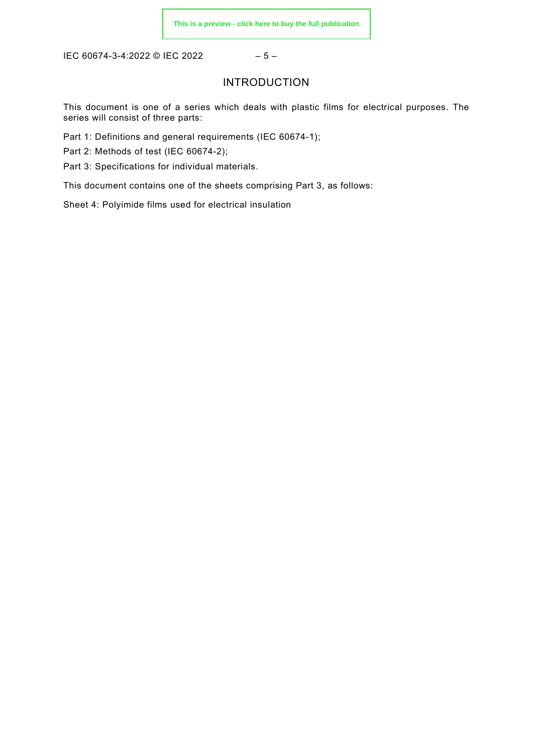<span id="page-4-0"></span>IEC 60674-3-4:2022 © IEC 2022 - 5 -

# INTRODUCTION

This document is one of a series which deals with plastic films for electrical purposes. The series will consist of three parts:

Part 1: Definitions and general requirements (IEC 60674-1);

Part 2: Methods of test (IEC 60674-2);

Part 3: Specifications for individual materials.

This document contains one of the sheets comprising Part 3, as follows:

Sheet 4: Polyimide films used for electrical insulation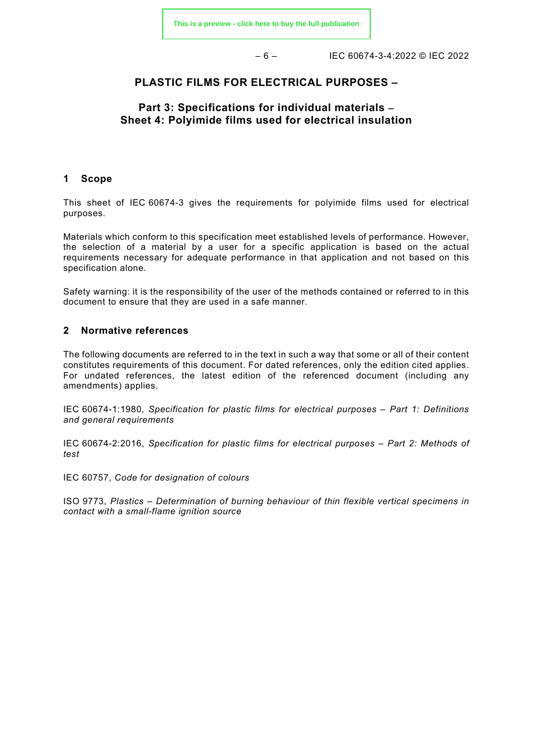– 6 – IEC 60674-3-4:2022 © IEC 2022

# **PLASTIC FILMS FOR ELECTRICAL PURPOSES –**

# **Part 3: Specifications for individual materials – Sheet 4: Polyimide films used for electrical insulation**

#### <span id="page-5-0"></span>**1 Scope**

This sheet of IEC 60674-3 gives the requirements for polyimide films used for electrical purposes.

Materials which conform to this specification meet established levels of performance. However, the selection of a material by a user for a specific application is based on the actual requirements necessary for adequate performance in that application and not based on this specification alone.

Safety warning: it is the responsibility of the user of the methods contained or referred to in this document to ensure that they are used in a safe manner.

## <span id="page-5-1"></span>**2 Normative references**

The following documents are referred to in the text in such a way that some or all of their content constitutes requirements of this document. For dated references, only the edition cited applies. For undated references, the latest edition of the referenced document (including any amendments) applies.

IEC 60674-1:1980, *Specification for plastic films for electrical purposes – Part 1: Definitions and general requirements*

IEC 60674-2:2016, *Specification for plastic films for electrical purposes – Part 2: Methods of test*

IEC 60757, *Code for designation of colours*

<span id="page-5-2"></span>ISO 9773, *Plastics – Determination of burning behaviour of thin flexible vertical specimens in contact with a small-flame ignition source*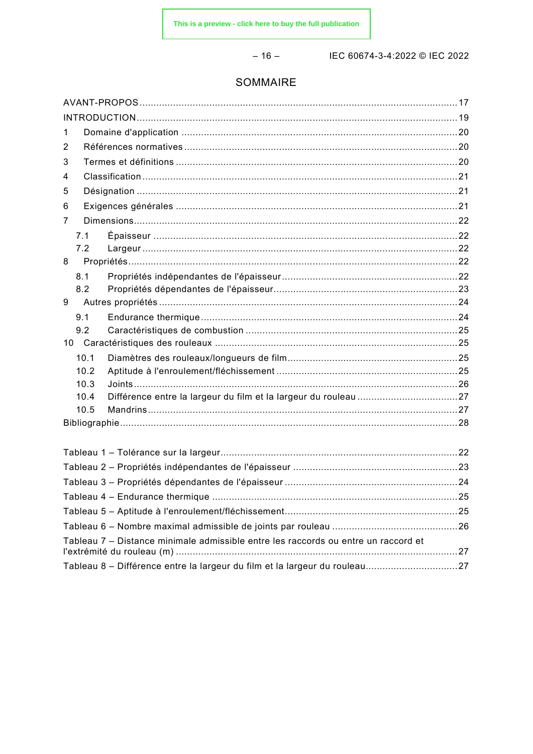$-16-$ 

IEC 60674-3-4:2022 © IEC 2022

# SOMMAIRE

| 1                                                                                  |  |
|------------------------------------------------------------------------------------|--|
| 2                                                                                  |  |
| 3                                                                                  |  |
| 4                                                                                  |  |
| 5                                                                                  |  |
| 6                                                                                  |  |
| 7                                                                                  |  |
| 7.1                                                                                |  |
| 7.2                                                                                |  |
| 8                                                                                  |  |
| 8.1                                                                                |  |
| 8.2                                                                                |  |
| 9                                                                                  |  |
| 9.1                                                                                |  |
| 9.2                                                                                |  |
| 10.1                                                                               |  |
| 10.2                                                                               |  |
| 10.3                                                                               |  |
| 10.4                                                                               |  |
| 10.5                                                                               |  |
|                                                                                    |  |
|                                                                                    |  |
|                                                                                    |  |
|                                                                                    |  |
|                                                                                    |  |
|                                                                                    |  |
|                                                                                    |  |
|                                                                                    |  |
| Tableau 7 – Distance minimale admissible entre les raccords ou entre un raccord et |  |
|                                                                                    |  |
|                                                                                    |  |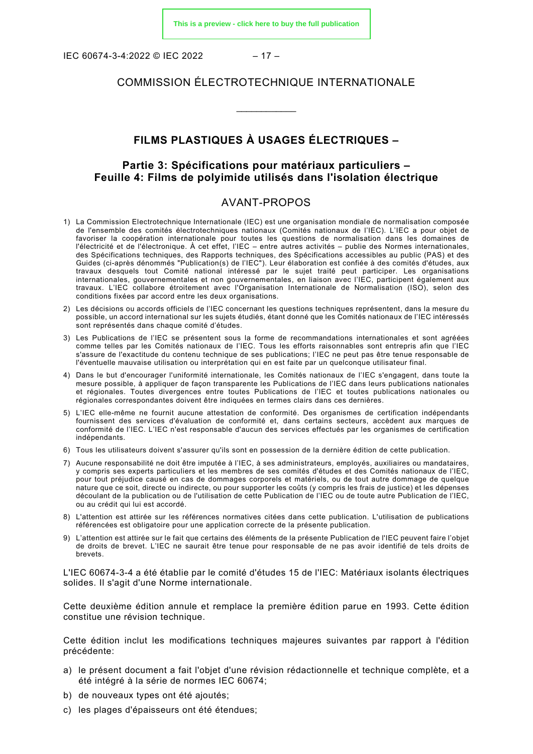IEC 60674-3-4:2022 © IEC 2022 – 17 –

# COMMISSION ÉLECTROTECHNIQUE INTERNATIONALE

\_\_\_\_\_\_\_\_\_\_\_\_

# **FILMS PLASTIQUES À USAGES ÉLECTRIQUES –**

# **Partie 3: Spécifications pour matériaux particuliers – Feuille 4: Films de polyimide utilisés dans l'isolation électrique**

# AVANT-PROPOS

- <span id="page-7-0"></span>1) La Commission Electrotechnique Internationale (IEC) est une organisation mondiale de normalisation composée de l'ensemble des comités électrotechniques nationaux (Comités nationaux de l'IEC). L'IEC a pour objet de favoriser la coopération internationale pour toutes les questions de normalisation dans les domaines de l'électricité et de l'électronique. À cet effet, l'IEC – entre autres activités – publie des Normes internationales, des Spécifications techniques, des Rapports techniques, des Spécifications accessibles au public (PAS) et des Guides (ci-après dénommés "Publication(s) de l'IEC"). Leur élaboration est confiée à des comités d'études, aux travaux desquels tout Comité national intéressé par le sujet traité peut participer. Les organisations internationales, gouvernementales et non gouvernementales, en liaison avec l'IEC, participent également aux travaux. L'IEC collabore étroitement avec l'Organisation Internationale de Normalisation (ISO), selon des conditions fixées par accord entre les deux organisations.
- 2) Les décisions ou accords officiels de l'IEC concernant les questions techniques représentent, dans la mesure du possible, un accord international sur les sujets étudiés, étant donné que les Comités nationaux de l'IEC intéressés sont représentés dans chaque comité d'études.
- 3) Les Publications de l'IEC se présentent sous la forme de recommandations internationales et sont agréées comme telles par les Comités nationaux de l'IEC. Tous les efforts raisonnables sont entrepris afin que l'IEC s'assure de l'exactitude du contenu technique de ses publications; l'IEC ne peut pas être tenue responsable de l'éventuelle mauvaise utilisation ou interprétation qui en est faite par un quelconque utilisateur final.
- 4) Dans le but d'encourager l'uniformité internationale, les Comités nationaux de l'IEC s'engagent, dans toute la mesure possible, à appliquer de façon transparente les Publications de l'IEC dans leurs publications nationales et régionales. Toutes divergences entre toutes Publications de l'IEC et toutes publications nationales ou régionales correspondantes doivent être indiquées en termes clairs dans ces dernières.
- 5) L'IEC elle-même ne fournit aucune attestation de conformité. Des organismes de certification indépendants fournissent des services d'évaluation de conformité et, dans certains secteurs, accèdent aux marques de conformité de l'IEC. L'IEC n'est responsable d'aucun des services effectués par les organismes de certification indépendants.
- 6) Tous les utilisateurs doivent s'assurer qu'ils sont en possession de la dernière édition de cette publication.
- 7) Aucune responsabilité ne doit être imputée à l'IEC, à ses administrateurs, employés, auxiliaires ou mandataires, y compris ses experts particuliers et les membres de ses comités d'études et des Comités nationaux de l'IEC, pour tout préjudice causé en cas de dommages corporels et matériels, ou de tout autre dommage de quelque nature que ce soit, directe ou indirecte, ou pour supporter les coûts (y compris les frais de justice) et les dépenses découlant de la publication ou de l'utilisation de cette Publication de l'IEC ou de toute autre Publication de l'IEC, ou au crédit qui lui est accordé.
- 8) L'attention est attirée sur les références normatives citées dans cette publication. L'utilisation de publications référencées est obligatoire pour une application correcte de la présente publication.
- 9) L'attention est attirée sur le fait que certains des éléments de la présente Publication de l'IEC peuvent faire l'objet de droits de brevet. L'IEC ne saurait être tenue pour responsable de ne pas avoir identifié de tels droits de brevets.

L'IEC 60674-3-4 a été établie par le comité d'études 15 de l'IEC: Matériaux isolants électriques solides. Il s'agit d'une Norme internationale.

Cette deuxième édition annule et remplace la première édition parue en 1993. Cette édition constitue une révision technique.

Cette édition inclut les modifications techniques majeures suivantes par rapport à l'édition précédente:

- a) le présent document a fait l'objet d'une révision rédactionnelle et technique complète, et a été intégré à la série de normes IEC 60674;
- b) de nouveaux types ont été ajoutés;
- c) les plages d'épaisseurs ont été étendues;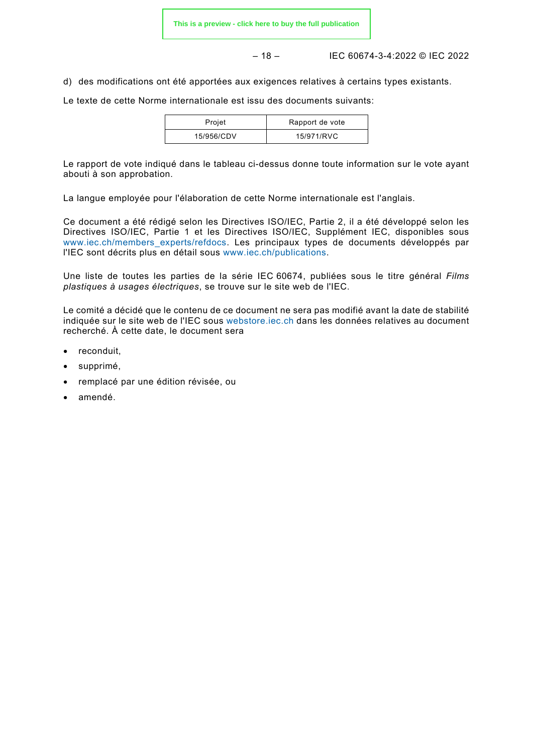– 18 – IEC 60674-3-4:2022 © IEC 2022

d) des modifications ont été apportées aux exigences relatives à certains types existants.

Le texte de cette Norme internationale est issu des documents suivants:

| Projet     | Rapport de vote |
|------------|-----------------|
| 15/956/CDV | 15/971/RVC      |

Le rapport de vote indiqué dans le tableau ci-dessus donne toute information sur le vote ayant abouti à son approbation.

La langue employée pour l'élaboration de cette Norme internationale est l'anglais.

Ce document a été rédigé selon les Directives ISO/IEC, Partie 2, il a été développé selon les Directives ISO/IEC, Partie 1 et les Directives ISO/IEC, Supplément IEC, disponibles sous [www.iec.ch/members\\_experts/refdocs.](https://www.iec.ch/members_experts/refdocs) Les principaux types de documents développés par l'IEC sont décrits plus en détail sous [www.iec.ch/publications.](https://www.iec.ch/publications)

Une liste de toutes les parties de la série IEC 60674, publiées sous le titre général *Films plastiques à usages électriques*, se trouve sur le site web de l'IEC.

Le comité a décidé que le contenu de ce document ne sera pas modifié avant la date de stabilité indiquée sur le site web de l'IEC sous [webstore.iec.ch](https://webstore.iec.ch/?ref=menu) dans les données relatives au document recherché. À cette date, le document sera

- reconduit,
- supprimé,
- remplacé par une édition révisée, ou
- amendé.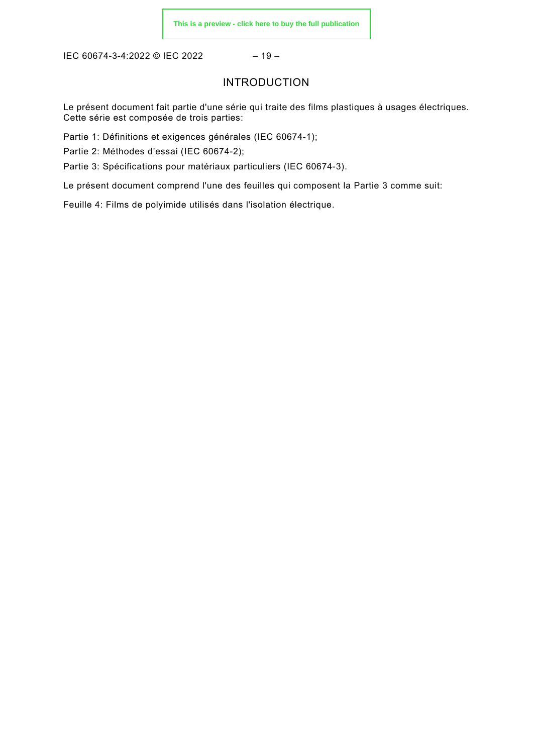<span id="page-9-0"></span>IEC 60674-3-4:2022 © IEC 2022 - 19 -

# INTRODUCTION

Le présent document fait partie d'une série qui traite des films plastiques à usages électriques. Cette série est composée de trois parties:

Partie 1: Définitions et exigences générales (IEC 60674-1);

Partie 2: Méthodes d'essai (IEC 60674-2);

Partie 3: Spécifications pour matériaux particuliers (IEC 60674-3).

Le présent document comprend l'une des feuilles qui composent la Partie 3 comme suit:

Feuille 4: Films de polyimide utilisés dans l'isolation électrique.